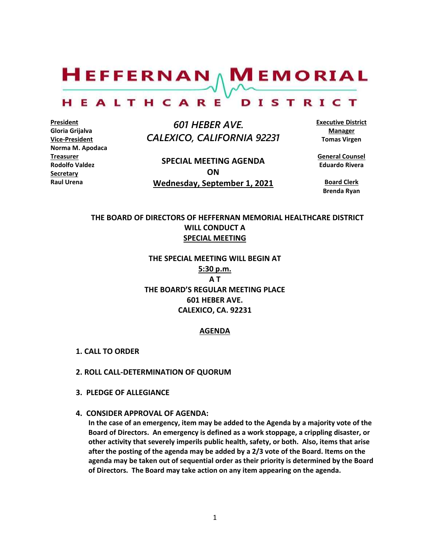# $H$ EFFERNAN  $\wedge$  M EMORIAL HEALTHCARE DISTRICT

**President Gloria Grijalva Vice-President Norma M. Apodaca Treasurer Rodolfo Valdez Secretary Raul Urena**

 *601 HEBER AVE. CALEXICO, CALIFORNIA 92231*

**SPECIAL MEETING AGENDA ON Wednesday, September 1, 2021** **Executive District Manager Tomas Virgen**

**General Counsel Eduardo Rivera**

> **Board Clerk Brenda Ryan**

## **THE BOARD OF DIRECTORS OF HEFFERNAN MEMORIAL HEALTHCARE DISTRICT WILL CONDUCT A SPECIAL MEETING**

**THE SPECIAL MEETING WILL BEGIN AT 5:30 p.m. A T THE BOARD'S REGULAR MEETING PLACE 601 HEBER AVE. CALEXICO, CA. 92231**

#### **AGENDA**

- **1. CALL TO ORDER**
- **2. ROLL CALL-DETERMINATION OF QUORUM**
- **3. PLEDGE OF ALLEGIANCE**
- **4. CONSIDER APPROVAL OF AGENDA:**

**In the case of an emergency, item may be added to the Agenda by a majority vote of the Board of Directors. An emergency is defined as a work stoppage, a crippling disaster, or other activity that severely imperils public health, safety, or both. Also, items that arise after the posting of the agenda may be added by a 2/3 vote of the Board. Items on the agenda may be taken out of sequential order as their priority is determined by the Board of Directors. The Board may take action on any item appearing on the agenda.**